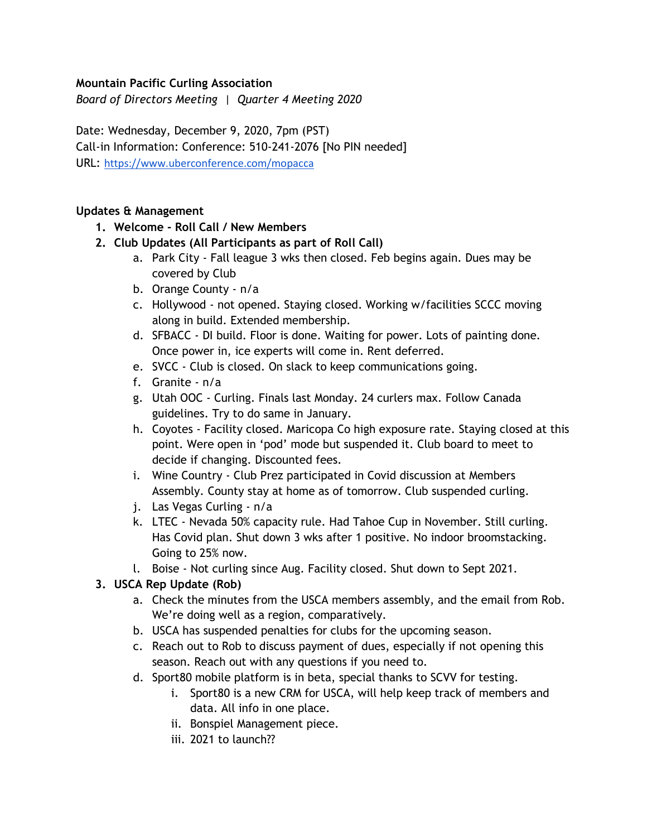#### **Mountain Pacific Curling Association**

*Board of Directors Meeting | Quarter 4 Meeting 2020*

Date: Wednesday, December 9, 2020, 7pm (PST) Call-in Information: Conference: 510-241-2076 [No PIN needed] URL: <https://www.uberconference.com/mopacca>

#### **Updates & Management**

- **1. Welcome - Roll Call / New Members**
- **2. Club Updates (All Participants as part of Roll Call)**
	- a. Park City Fall league 3 wks then closed. Feb begins again. Dues may be covered by Club
	- b. Orange County n/a
	- c. Hollywood not opened. Staying closed. Working w/facilities SCCC moving along in build. Extended membership.
	- d. SFBACC DI build. Floor is done. Waiting for power. Lots of painting done. Once power in, ice experts will come in. Rent deferred.
	- e. SVCC Club is closed. On slack to keep communications going.
	- f. Granite n/a
	- g. Utah OOC Curling. Finals last Monday. 24 curlers max. Follow Canada guidelines. Try to do same in January.
	- h. Coyotes Facility closed. Maricopa Co high exposure rate. Staying closed at this point. Were open in 'pod' mode but suspended it. Club board to meet to decide if changing. Discounted fees.
	- i. Wine Country Club Prez participated in Covid discussion at Members Assembly. County stay at home as of tomorrow. Club suspended curling.
	- j. Las Vegas Curling n/a
	- k. LTEC Nevada 50% capacity rule. Had Tahoe Cup in November. Still curling. Has Covid plan. Shut down 3 wks after 1 positive. No indoor broomstacking. Going to 25% now.
	- l. Boise Not curling since Aug. Facility closed. Shut down to Sept 2021.

# **3. USCA Rep Update (Rob)**

- a. Check the minutes from the USCA members assembly, and the email from Rob. We're doing well as a region, comparatively.
- b. USCA has suspended penalties for clubs for the upcoming season.
- c. Reach out to Rob to discuss payment of dues, especially if not opening this season. Reach out with any questions if you need to.
- d. Sport80 mobile platform is in beta, special thanks to SCVV for testing.
	- i. Sport80 is a new CRM for USCA, will help keep track of members and data. All info in one place.
	- ii. Bonspiel Management piece.
	- iii. 2021 to launch??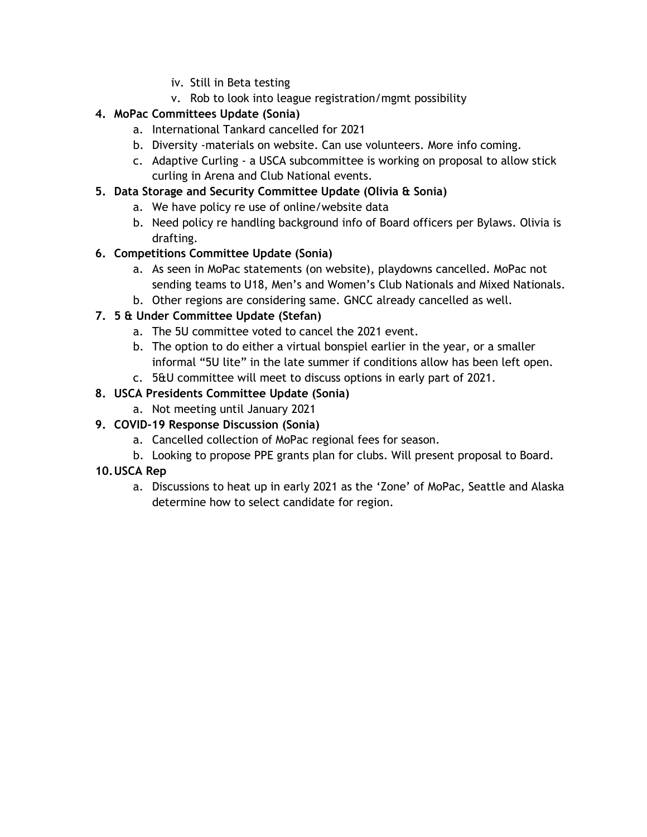- iv. Still in Beta testing
- v. Rob to look into league registration/mgmt possibility

#### **4. MoPac Committees Update (Sonia)**

- a. International Tankard cancelled for 2021
- b. Diversity -materials on website. Can use volunteers. More info coming.
- c. Adaptive Curling a USCA subcommittee is working on proposal to allow stick curling in Arena and Club National events.

#### **5. Data Storage and Security Committee Update (Olivia & Sonia)**

- a. We have policy re use of online/website data
- b. Need policy re handling background info of Board officers per Bylaws. Olivia is drafting.

### **6. Competitions Committee Update (Sonia)**

- a. As seen in MoPac statements (on website), playdowns cancelled. MoPac not sending teams to U18, Men's and Women's Club Nationals and Mixed Nationals.
- b. Other regions are considering same. GNCC already cancelled as well.

### **7. 5 & Under Committee Update (Stefan)**

- a. The 5U committee voted to cancel the 2021 event.
- b. The option to do either a virtual bonspiel earlier in the year, or a smaller informal "5U lite" in the late summer if conditions allow has been left open.
- c. 5&U committee will meet to discuss options in early part of 2021.

### **8. USCA Presidents Committee Update (Sonia)**

a. Not meeting until January 2021

# **9. COVID-19 Response Discussion (Sonia)**

- a. Cancelled collection of MoPac regional fees for season.
- b. Looking to propose PPE grants plan for clubs. Will present proposal to Board.

#### **10.USCA Rep**

a. Discussions to heat up in early 2021 as the 'Zone' of MoPac, Seattle and Alaska determine how to select candidate for region.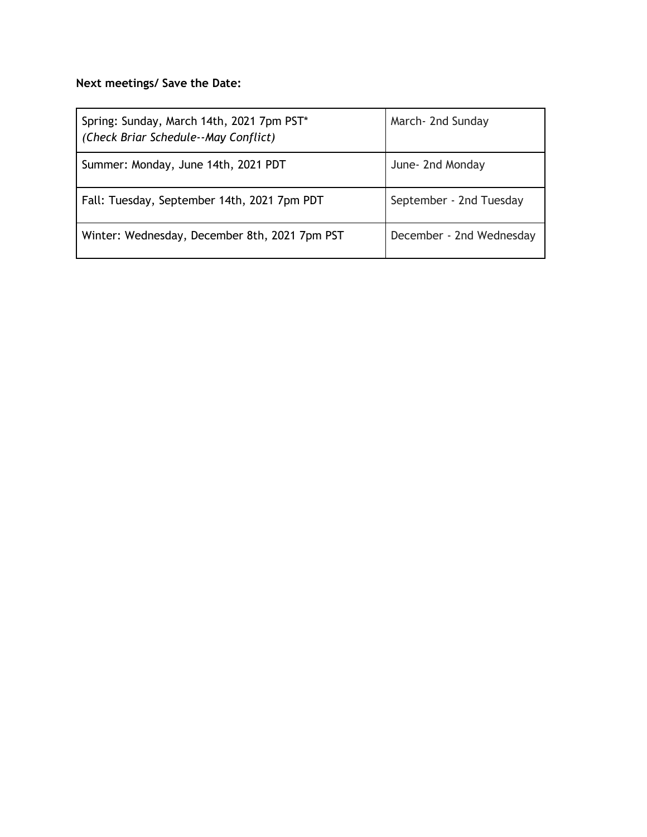# **Next meetings/ Save the Date:**

| Spring: Sunday, March 14th, 2021 7pm PST*<br>(Check Briar Schedule--May Conflict) | March- 2nd Sunday        |
|-----------------------------------------------------------------------------------|--------------------------|
| Summer: Monday, June 14th, 2021 PDT                                               | June- 2nd Monday         |
| Fall: Tuesday, September 14th, 2021 7pm PDT                                       | September - 2nd Tuesday  |
| Winter: Wednesday, December 8th, 2021 7pm PST                                     | December - 2nd Wednesday |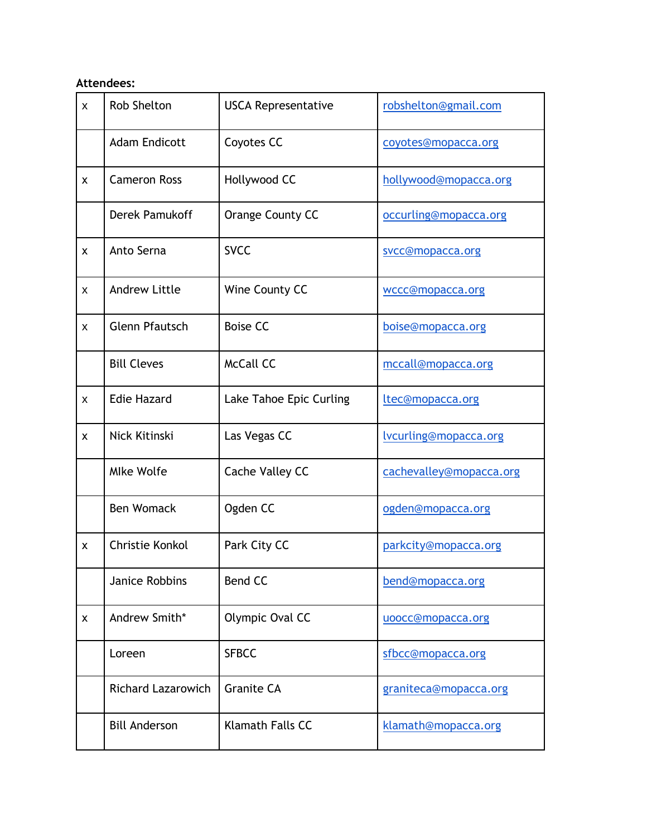# **Attendees:**

| $\mathsf{x}$              | <b>Rob Shelton</b>        | <b>USCA Representative</b> | robshelton@gmail.com     |
|---------------------------|---------------------------|----------------------------|--------------------------|
|                           | <b>Adam Endicott</b>      | Coyotes CC                 | coyotes@mopacca.org      |
| $\mathsf{x}$              | <b>Cameron Ross</b>       | Hollywood CC               | hollywood@mopacca.org    |
|                           | Derek Pamukoff            | Orange County CC           | occurling@mopacca.org    |
| X                         | Anto Serna                | <b>SVCC</b>                | svcc@mopacca.org         |
| X                         | <b>Andrew Little</b>      | Wine County CC             | wccc@mopacca.org         |
| X                         | <b>Glenn Pfautsch</b>     | <b>Boise CC</b>            | <u>boise@mopacca.org</u> |
|                           | <b>Bill Cleves</b>        | <b>McCall CC</b>           | mccall@mopacca.org       |
| X                         | <b>Edie Hazard</b>        | Lake Tahoe Epic Curling    | ltec@mopacca.org         |
| $\boldsymbol{\mathsf{x}}$ | Nick Kitinski             | Las Vegas CC               | Ivcurling@mopacca.org    |
|                           | <b>Mlke Wolfe</b>         | Cache Valley CC            | cachevalley@mopacca.org  |
|                           | <b>Ben Womack</b>         | Ogden CC                   | ogden@mopacca.org        |
| X                         | Christie Konkol           | Park City CC               | parkcity@mopacca.org     |
|                           | Janice Robbins            | <b>Bend CC</b>             | bend@mopacca.org         |
| X                         | Andrew Smith*             | Olympic Oval CC            | uoocc@mopacca.org        |
|                           | Loreen                    | <b>SFBCC</b>               | sfbcc@mopacca.org        |
|                           | <b>Richard Lazarowich</b> | <b>Granite CA</b>          | graniteca@mopacca.org    |
|                           | <b>Bill Anderson</b>      | Klamath Falls CC           | klamath@mopacca.org      |